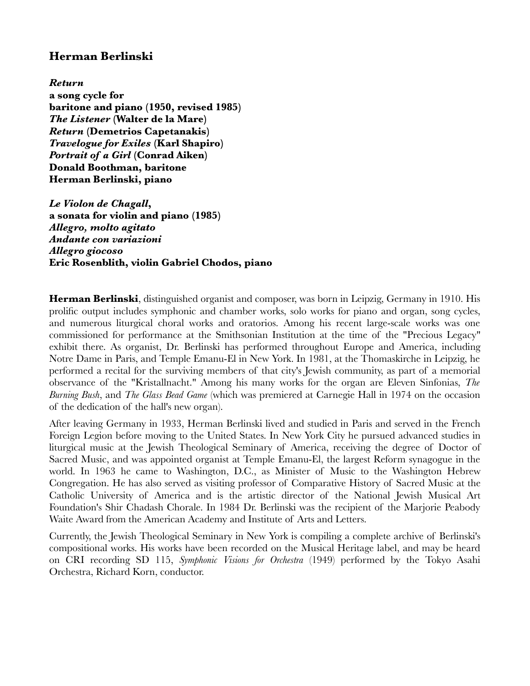# **Herman Berlinski**

*Return* **a song cycle for baritone and piano (1950, revised 1985)** *The Listener* **(Walter de la Mare)**  *Return* **(Demetrios Capetanakis)**  *Travelogue for Exiles* **(Karl Shapiro)**  *Portrait of a Girl* **(Conrad Aiken) Donald Boothman, baritone Herman Berlinski, piano**

*Le Violon de Chagall***, a sonata for violin and piano (1985)** *Allegro, molto agitato Andante con variazioni Allegro giocoso* **Eric Rosenblith, violin Gabriel Chodos, piano** 

**Herman Berlinski**, distinguished organist and composer, was born in Leipzig, Germany in 1910. His prolific output includes symphonic and chamber works, solo works for piano and organ, song cycles, and numerous liturgical choral works and oratorios. Among his recent large-scale works was one commissioned for performance at the Smithsonian Institution at the time of the "Precious Legacy" exhibit there. As organist, Dr. Berlinski has performed throughout Europe and America, including Notre Dame in Paris, and Temple Emanu-El in New York. In 1981, at the Thomaskirche in Leipzig, he performed a recital for the surviving members of that city's Jewish community, as part of a memorial observance of the "Kristallnacht." Among his many works for the organ are Eleven Sinfonias, *The Burning Bush*, and *The Glass Bead Game* (which was premiered at Carnegie Hall in 1974 on the occasion of the dedication of the hall's new organ).

After leaving Germany in 1933, Herman Berlinski lived and studied in Paris and served in the French Foreign Legion before moving to the United States. In New York City he pursued advanced studies in liturgical music at the Jewish Theological Seminary of America, receiving the degree of Doctor of Sacred Music, and was appointed organist at Temple Emanu-El, the largest Reform synagogue in the world. In 1963 he came to Washington, D.C., as Minister of Music to the Washington Hebrew Congregation. He has also served as visiting professor of Comparative History of Sacred Music at the Catholic University of America and is the artistic director of the National Jewish Musical Art Foundation's Shir Chadash Chorale. In 1984 Dr. Berlinski was the recipient of the Marjorie Peabody Waite Award from the American Academy and Institute of Arts and Letters.

Currently, the Jewish Theological Seminary in New York is compiling a complete archive of Berlinski's compositional works. His works have been recorded on the Musical Heritage label, and may be heard on CRI recording SD 115, *Symphonic Visions for Orchestra* (1949) performed by the Tokyo Asahi Orchestra, Richard Korn, conductor.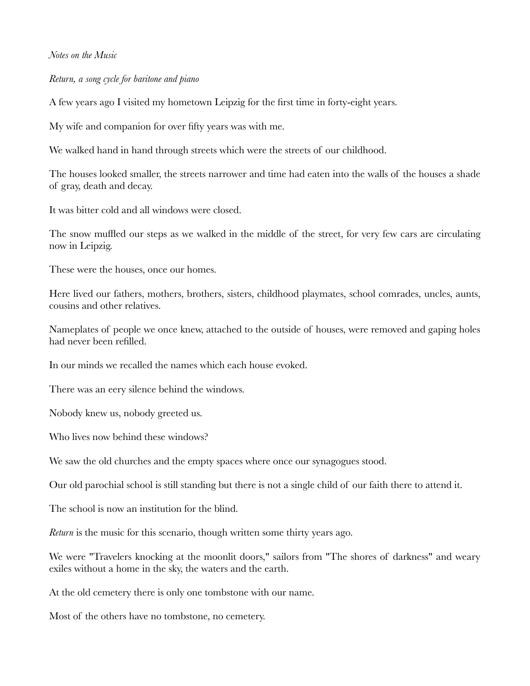*Notes on the Music*

*Return, a song cycle for baritone and piano*

A few years ago I visited my hometown Leipzig for the first time in forty-eight years.

My wife and companion for over fifty years was with me.

We walked hand in hand through streets which were the streets of our childhood.

The houses looked smaller, the streets narrower and time had eaten into the walls of the houses a shade of gray, death and decay.

It was bitter cold and all windows were closed.

The snow muffled our steps as we walked in the middle of the street, for very few cars are circulating now in Leipzig.

These were the houses, once our homes.

Here lived our fathers, mothers, brothers, sisters, childhood playmates, school comrades, uncles, aunts, cousins and other relatives.

Nameplates of people we once knew, attached to the outside of houses, were removed and gaping holes had never been refilled.

In our minds we recalled the names which each house evoked.

There was an eery silence behind the windows.

Nobody knew us, nobody greeted us.

Who lives now behind these windows?

We saw the old churches and the empty spaces where once our synagogues stood.

Our old parochial school is still standing but there is not a single child of our faith there to attend it.

The school is now an institution for the blind.

*Return* is the music for this scenario, though written some thirty years ago.

We were "Travelers knocking at the moonlit doors," sailors from "The shores of darkness" and weary exiles without a home in the sky, the waters and the earth.

At the old cemetery there is only one tombstone with our name.

Most of the others have no tombstone, no cemetery.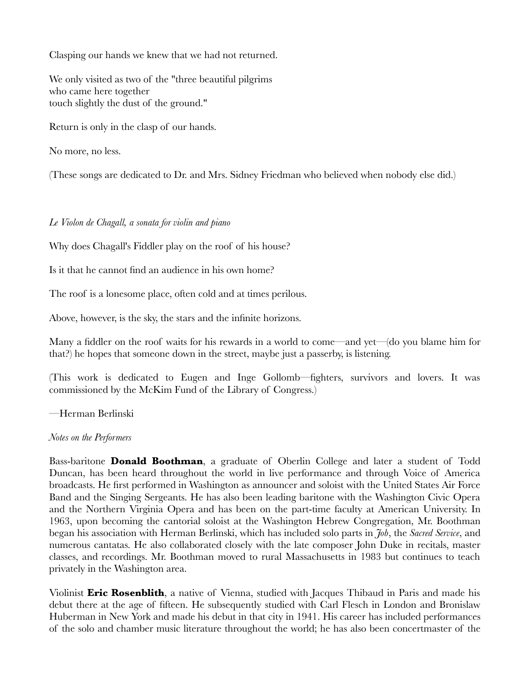Clasping our hands we knew that we had not returned.

We only visited as two of the "three beautiful pilgrims who came here together touch slightly the dust of the ground."

Return is only in the clasp of our hands.

No more, no less.

(These songs are dedicated to Dr. and Mrs. Sidney Friedman who believed when nobody else did.)

## *Le Violon de Chagall, a sonata for violin and piano*

Why does Chagall's Fiddler play on the roof of his house?

Is it that he cannot find an audience in his own home?

The roof is a lonesome place, often cold and at times perilous.

Above, however, is the sky, the stars and the infinite horizons.

Many a fiddler on the roof waits for his rewards in a world to come—and yet—(do you blame him for that?) he hopes that someone down in the street, maybe just a passerby, is listening.

(This work is dedicated to Eugen and Inge Gollomb—fighters, survivors and lovers. It was commissioned by the McKim Fund of the Library of Congress.)

—Herman Berlinski

### *Notes on the Performers*

Bass-baritone **Donald Boothman**, a graduate of Oberlin College and later a student of Todd Duncan, has been heard throughout the world in live performance and through Voice of America broadcasts. He first performed in Washington as announcer and soloist with the United States Air Force Band and the Singing Sergeants. He has also been leading baritone with the Washington Civic Opera and the Northern Virginia Opera and has been on the part-time faculty at American University. In 1963, upon becoming the cantorial soloist at the Washington Hebrew Congregation, Mr. Boothman began his association with Herman Berlinski, which has included solo parts in *Job*, the *Sacred Service*, and numerous cantatas. He also collaborated closely with the late composer John Duke in recitals, master classes, and recordings. Mr. Boothman moved to rural Massachusetts in 1983 but continues to teach privately in the Washington area.

Violinist **Eric Rosenblith**, a native of Vienna, studied with Jacques Thibaud in Paris and made his debut there at the age of fifteen. He subsequently studied with Carl Flesch in London and Bronislaw Huberman in New York and made his debut in that city in 1941. His career has included performances of the solo and chamber music literature throughout the world; he has also been concertmaster of the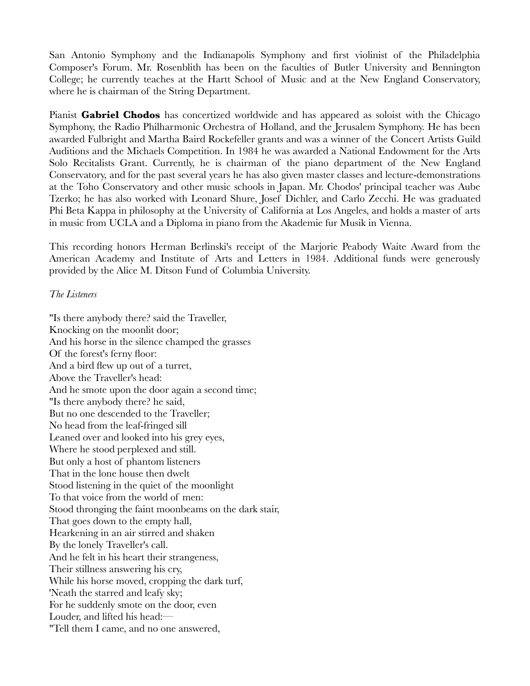San Antonio Symphony and the Indianapolis Symphony and first violinist of the Philadelphia Composer's Forum. Mr. Rosenblith has been on the faculties of Butler University and Bennington College; he currently teaches at the Hartt School of Music and at the New England Conservatory, where he is chairman of the String Department.

Pianist **Gabriel Chodos** has concertized worldwide and has appeared as soloist with the Chicago Symphony, the Radio Philharmonic Orchestra of Holland, and the Jerusalem Symphony. He has been awarded Fulbright and Martha Baird Rockefeller grants and was a winner of the Concert Artists Guild Auditions and the Michaels Competition. In 1984 he was awarded a National Endowment for the Arts Solo Recitalists Grant. Currently, he is chairman of the piano department of the New England Conservatory, and for the past several years he has also given master classes and lecture-demonstrations at the Toho Conservatory and other music schools in Japan. Mr. Chodos' principal teacher was Aube Tzerko; he has also worked with Leonard Shure, Josef Dichler, and Carlo Zecchi. He was graduated Phi Beta Kappa in philosophy at the University of California at Los Angeles, and holds a master of arts in music from UCLA and a Diploma in piano from the Akademie fur Musik in Vienna.

This recording honors Herman Berlinski's receipt of the Marjorie Peabody Waite Award from the American Academy and Institute of Arts and Letters in 1984. Additional funds were generously provided by the Alice M. Ditson Fund of Columbia University.

#### *The Listeners*

"Is there anybody there? said the Traveller, Knocking on the moonlit door; And his horse in the silence champed the grasses Of the forest's ferny floor: And a bird flew up out of a turret, Above the Traveller's head: And he smote upon the door again a second time; "Is there anybody there? he said, But no one descended to the Traveller; No head from the leaf-fringed sill Leaned over and looked into his grey eyes, Where he stood perplexed and still. But only a host of phantom listeners That in the lone house then dwelt Stood listening in the quiet of the moonlight To that voice from the world of men: Stood thronging the faint moonbeams on the dark stair, That goes down to the empty hall, Hearkening in an air stirred and shaken By the lonely Traveller's call. And he felt in his heart their strangeness, Their stillness answering his cry, While his horse moved, cropping the dark turf, 'Neath the starred and leafy sky; For he suddenly smote on the door, even Louder, and lifted his head:— "Tell them I came, and no one answered,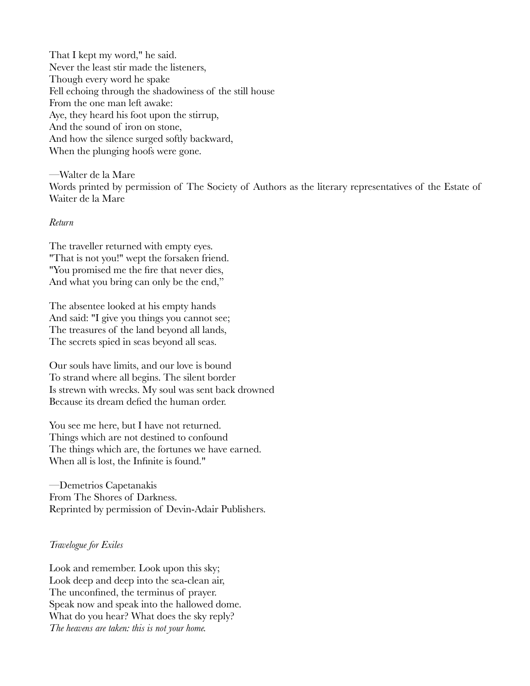That I kept my word," he said. Never the least stir made the listeners, Though every word he spake Fell echoing through the shadowiness of the still house From the one man left awake: Aye, they heard his foot upon the stirrup, And the sound of iron on stone, And how the silence surged softly backward, When the plunging hoofs were gone.

—Walter de la Mare Words printed by permission of The Society of Authors as the literary representatives of the Estate of Waiter de la Mare

#### *Return*

The traveller returned with empty eyes. "That is not you!" wept the forsaken friend. "You promised me the fire that never dies, And what you bring can only be the end,"

The absentee looked at his empty hands And said: "I give you things you cannot see; The treasures of the land beyond all lands, The secrets spied in seas beyond all seas.

Our souls have limits, and our love is bound To strand where all begins. The silent border Is strewn with wrecks. My soul was sent back drowned Because its dream defied the human order.

You see me here, but I have not returned. Things which are not destined to confound The things which are, the fortunes we have earned. When all is lost, the Infinite is found."

—Demetrios Capetanakis From The Shores of Darkness. Reprinted by permission of Devin-Adair Publishers.

#### *Travelogue for Exiles*

Look and remember. Look upon this sky; Look deep and deep into the sea-clean air, The unconfined, the terminus of prayer. Speak now and speak into the hallowed dome. What do you hear? What does the sky reply? *The heavens are taken: this is not your home.*